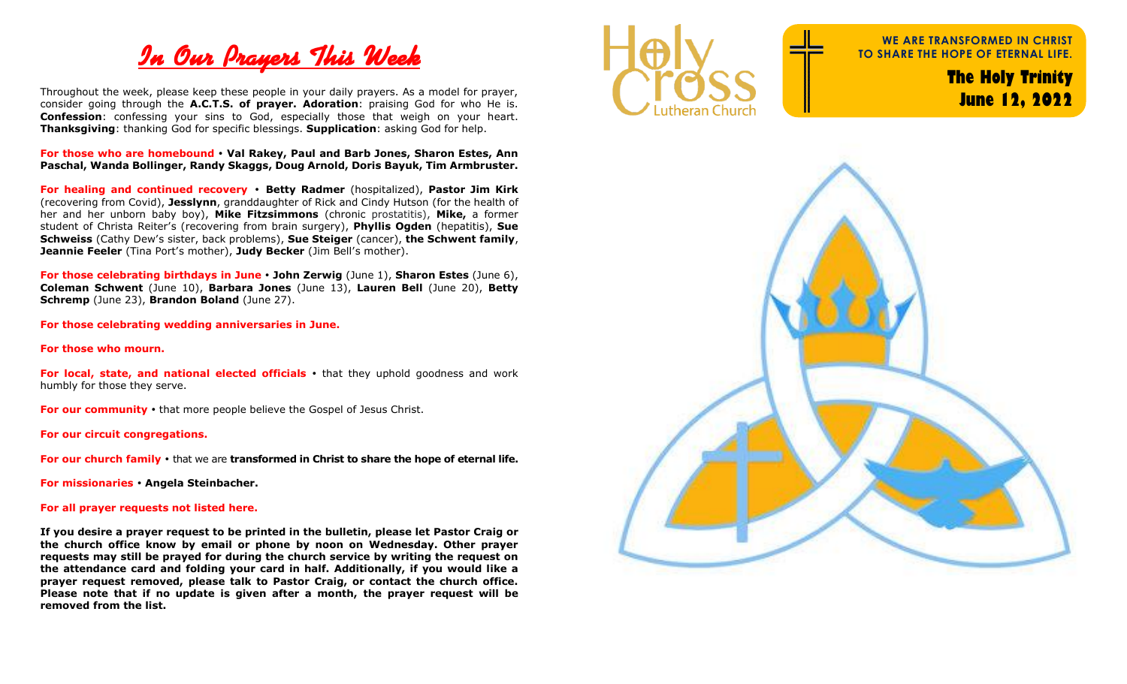

Throughout the week, please keep these people in your daily prayers. As a model for prayer, consider going through the **A.C.T.S. of prayer. Adoration**: praising God for who He is. **Confession**: confessing your sins to God, especially those that weigh on your heart. **Thanksgiving**: thanking God for specific blessings. **Supplication**: asking God for help.

**For those who are homebound Val Rakey, Paul and Barb Jones, Sharon Estes, Ann Paschal, Wanda Bollinger, Randy Skaggs, Doug Arnold, Doris Bayuk, Tim Armbruster.**

**For healing and continued recovery Betty Radmer** (hospitalized), **Pastor Jim Kirk** (recovering from Covid), **Jesslynn**, granddaughter of Rick and Cindy Hutson (for the health of her and her unborn baby boy), **Mike Fitzsimmons** (chronic prostatitis), **Mike,** a former student of Christa Reiter's (recovering from brain surgery), **Phyllis Ogden** (hepatitis), **Sue Schweiss** (Cathy Dew's sister, back problems), **Sue Steiger** (cancer), **the Schwent family**, **Jeannie Feeler** (Tina Port's mother), **Judy Becker** (Jim Bell's mother).

**For those celebrating birthdays in June John Zerwig** (June 1), **Sharon Estes** (June 6), **Coleman Schwent** (June 10), **Barbara Jones** (June 13), **Lauren Bell** (June 20), **Betty Schremp** (June 23), **Brandon Boland** (June 27).

**For those celebrating wedding anniversaries in June.**

**For those who mourn.**

**For local, state, and national elected officials •** that they uphold goodness and work humbly for those they serve.

**For our community •** that more people believe the Gospel of Jesus Christ.

**For our circuit congregations.**

**For our church family**  that we are **transformed in Christ to share the hope of eternal life.**

**For missionaries Angela Steinbacher.**

## **For all prayer requests not listed here.**

**If you desire a prayer request to be printed in the bulletin, please let Pastor Craig or the church office know by email or phone by noon on Wednesday. Other prayer requests may still be prayed for during the church service by writing the request on the attendance card and folding your card in half. Additionally, if you would like a prayer request removed, please talk to Pastor Craig, or contact the church office. Please note that if no update is given after a month, the prayer request will be removed from the list.** 



**WE ARE TRANSFORMED IN CHRIST TO SHARE THE HOPE OF ETERNAL LIFE.**

> **The Holy Trinity June 12, 2022**